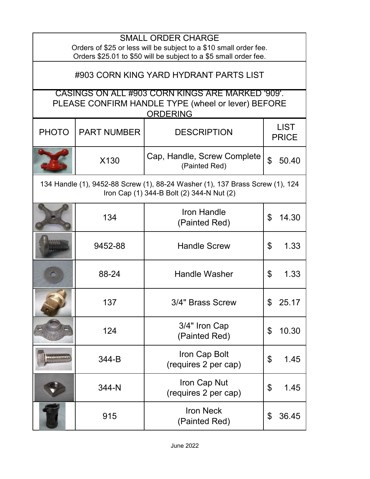| <b>SMALL ORDER CHARGE</b><br>Orders of \$25 or less will be subject to a \$10 small order fee.<br>Orders \$25.01 to \$50 will be subject to a \$5 small order fee. |                                                                                                                            |                                              |                             |  |  |
|--------------------------------------------------------------------------------------------------------------------------------------------------------------------|----------------------------------------------------------------------------------------------------------------------------|----------------------------------------------|-----------------------------|--|--|
| #903 CORN KING YARD HYDRANT PARTS LIST                                                                                                                             |                                                                                                                            |                                              |                             |  |  |
| CASINGS ON ALL #903 CORN KINGS ARE MARKED '909'.<br>PLEASE CONFIRM HANDLE TYPE (wheel or lever) BEFORE<br><b>ORDERING</b>                                          |                                                                                                                            |                                              |                             |  |  |
| <b>PHOTO</b>                                                                                                                                                       | <b>PART NUMBER</b>                                                                                                         | <b>DESCRIPTION</b>                           | <b>LIST</b><br><b>PRICE</b> |  |  |
|                                                                                                                                                                    | X130                                                                                                                       | Cap, Handle, Screw Complete<br>(Painted Red) | $\mathfrak{L}$<br>50.40     |  |  |
|                                                                                                                                                                    | 134 Handle (1), 9452-88 Screw (1), 88-24 Washer (1), 137 Brass Screw (1), 124<br>Iron Cap (1) 344-B Bolt (2) 344-N Nut (2) |                                              |                             |  |  |
|                                                                                                                                                                    | 134                                                                                                                        | <b>Iron Handle</b><br>(Painted Red)          | \$<br>14.30                 |  |  |
|                                                                                                                                                                    | 9452-88                                                                                                                    | <b>Handle Screw</b>                          | \$<br>1.33                  |  |  |
|                                                                                                                                                                    | 88-24                                                                                                                      | <b>Handle Washer</b>                         | \$<br>1.33                  |  |  |
|                                                                                                                                                                    | 137                                                                                                                        | 3/4" Brass Screw                             | 25.17                       |  |  |
|                                                                                                                                                                    | 124                                                                                                                        | 3/4" Iron Cap<br>(Painted Red)               | \$<br>10.30                 |  |  |
|                                                                                                                                                                    | 344-B                                                                                                                      | Iron Cap Bolt<br>(requires 2 per cap)        | 1.45<br>\$                  |  |  |
|                                                                                                                                                                    | 344-N                                                                                                                      | Iron Cap Nut<br>(requires 2 per cap)         | \$<br>1.45                  |  |  |
|                                                                                                                                                                    | 915                                                                                                                        | <b>Iron Neck</b><br>(Painted Red)            | 36.45<br>\$                 |  |  |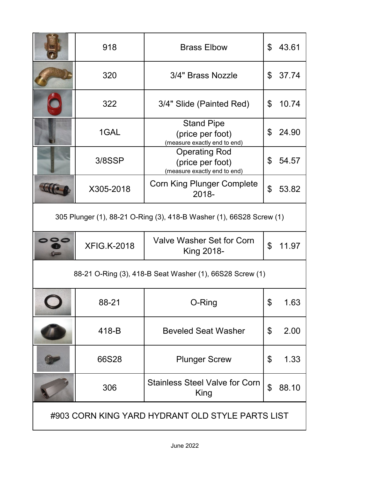|                                                                      | 918                | <b>Brass Elbow</b>                                                       | \$             | 43.61 |
|----------------------------------------------------------------------|--------------------|--------------------------------------------------------------------------|----------------|-------|
|                                                                      | 320                | 3/4" Brass Nozzle                                                        | \$             | 37.74 |
|                                                                      | 322                | 3/4" Slide (Painted Red)                                                 | \$             | 10.74 |
|                                                                      | 1GAL               | <b>Stand Pipe</b><br>(price per foot)<br>(measure exactly end to end)    | \$             | 24.90 |
|                                                                      | 3/8SSP             | <b>Operating Rod</b><br>(price per foot)<br>(measure exactly end to end) | \$             | 54.57 |
|                                                                      | X305-2018          | <b>Corn King Plunger Complete</b><br>2018-                               | \$             | 53.82 |
| 305 Plunger (1), 88-21 O-Ring (3), 418-B Washer (1), 66S28 Screw (1) |                    |                                                                          |                |       |
|                                                                      | <b>XFIG.K-2018</b> | Valve Washer Set for Corn<br>King 2018-                                  | $\mathfrak{P}$ | 11.97 |
| 88-21 O-Ring (3), 418-B Seat Washer (1), 66S28 Screw (1)             |                    |                                                                          |                |       |
|                                                                      | 88-21              | O-Ring                                                                   |                | טט. ו |
|                                                                      | 418-B              | <b>Beveled Seat Washer</b>                                               | \$             | 2.00  |
|                                                                      | 66S28              | <b>Plunger Screw</b>                                                     | \$             | 1.33  |
|                                                                      | 306                | <b>Stainless Steel Valve for Corn</b><br>King                            | $\mathfrak{L}$ | 88.10 |
| #903 CORN KING YARD HYDRANT OLD STYLE PARTS LIST                     |                    |                                                                          |                |       |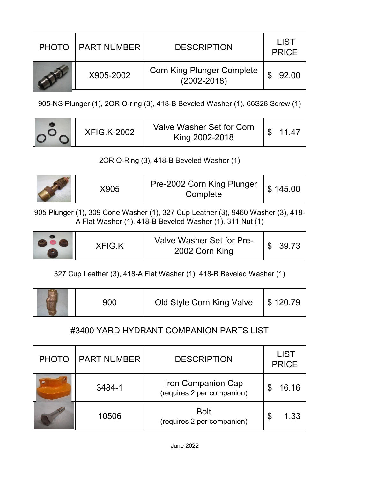| <b>PHOTO</b>                                                                                                                                 | <b>PART NUMBER</b> | <b>DESCRIPTION</b>                                   | <b>LIST</b><br><b>PRICE</b> |  |
|----------------------------------------------------------------------------------------------------------------------------------------------|--------------------|------------------------------------------------------|-----------------------------|--|
|                                                                                                                                              | X905-2002          | <b>Corn King Plunger Complete</b><br>$(2002 - 2018)$ | $\mathfrak{L}$<br>92.00     |  |
| 905-NS Plunger (1), 2OR O-ring (3), 418-B Beveled Washer (1), 66S28 Screw (1)                                                                |                    |                                                      |                             |  |
|                                                                                                                                              | <b>XFIG.K-2002</b> | Valve Washer Set for Corn<br>King 2002-2018          | \$<br>11.47                 |  |
| 2OR O-Ring (3), 418-B Beveled Washer (1)                                                                                                     |                    |                                                      |                             |  |
|                                                                                                                                              | X905               | Pre-2002 Corn King Plunger<br>Complete               | \$145.00                    |  |
| 905 Plunger (1), 309 Cone Washer (1), 327 Cup Leather (3), 9460 Washer (3), 418-<br>A Flat Washer (1), 418-B Beveled Washer (1), 311 Nut (1) |                    |                                                      |                             |  |
|                                                                                                                                              | <b>XFIG.K</b>      | Valve Washer Set for Pre-<br>2002 Corn King          | \$<br>39.73                 |  |
| 327 Cup Leather (3), 418-A Flat Washer (1), 418-B Beveled Washer (1)                                                                         |                    |                                                      |                             |  |
|                                                                                                                                              | 900                | Old Style Corn King Valve                            | \$120.79                    |  |
| #3400 YARD HYDRANT COMPANION PARTS LIST                                                                                                      |                    |                                                      |                             |  |
| <b>PHOTO</b>                                                                                                                                 | <b>PART NUMBER</b> | <b>DESCRIPTION</b>                                   | <b>LIST</b><br><b>PRICE</b> |  |
|                                                                                                                                              | 3484-1             | Iron Companion Cap<br>(requires 2 per companion)     | \$<br>16.16                 |  |
|                                                                                                                                              | 10506              | <b>Bolt</b><br>(requires 2 per companion)            | \$<br>1.33                  |  |